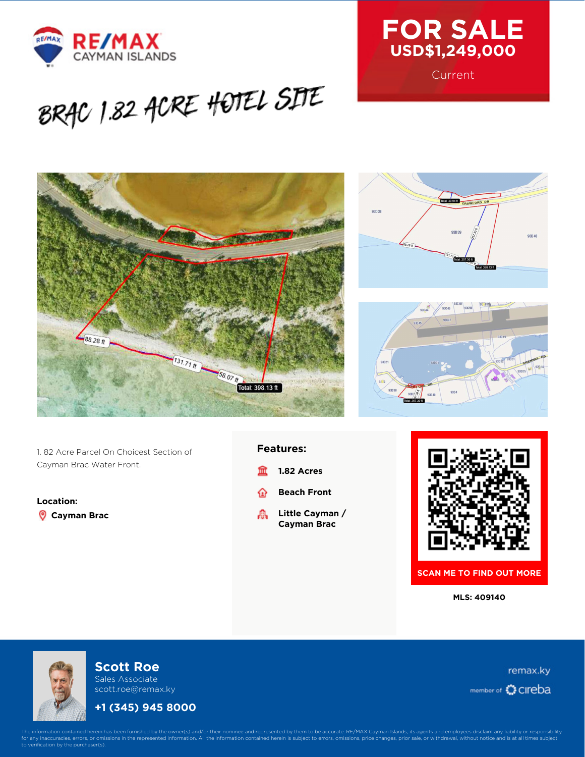



**Current** 

 $1:39.94$  ft **RAWE** 

93D39

93044 93046  $\frac{1}{2}$ 

93D 40

 $930.38$ 

# BRAC 1.82 ACRE HOTEL SITE



1. 82 Acre Parcel On Choicest Section of Cayman Brac Water Front.

**Location: Cayman Brac**

#### **Features:**

- **1.82 Acres** 血
- **Beach Front** ⋒
- **Little Cayman /** 矗 **Cayman Brac**





**SCAN ME TO FIND OUT MORE**

**MLS: 409140**



## **Scott Roe**

Sales Associate scott.roe@remax.ky

## **+1 (345) 945 8000**

remax.ky member of CIreba

The information contained herein has been furnished by the owner(s) and/or their nominee and represented by them to be accurate. RE/MAX Cayman Islands, its agents and employees disclaim any liability or responsibility<br>for verification by the purchaser(s).